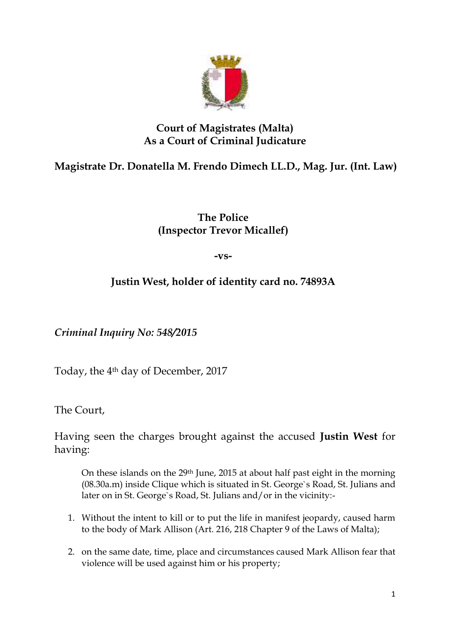

## **Court of Magistrates (Malta) As a Court of Criminal Judicature**

## **Magistrate Dr. Donatella M. Frendo Dimech LL.D., Mag. Jur. (Int. Law)**

## **The Police (Inspector Trevor Micallef)**

**-vs-**

## **Justin West, holder of identity card no. 74893A**

*Criminal Inquiry No: 548/2015*

Today, the 4th day of December, 2017

The Court,

Having seen the charges brought against the accused **Justin West** for having:

On these islands on the 29th June, 2015 at about half past eight in the morning (08.30a.m) inside Clique which is situated in St. George`s Road, St. Julians and later on in St. George`s Road, St. Julians and/or in the vicinity:-

- 1. Without the intent to kill or to put the life in manifest jeopardy, caused harm to the body of Mark Allison (Art. 216, 218 Chapter 9 of the Laws of Malta);
- 2. on the same date, time, place and circumstances caused Mark Allison fear that violence will be used against him or his property;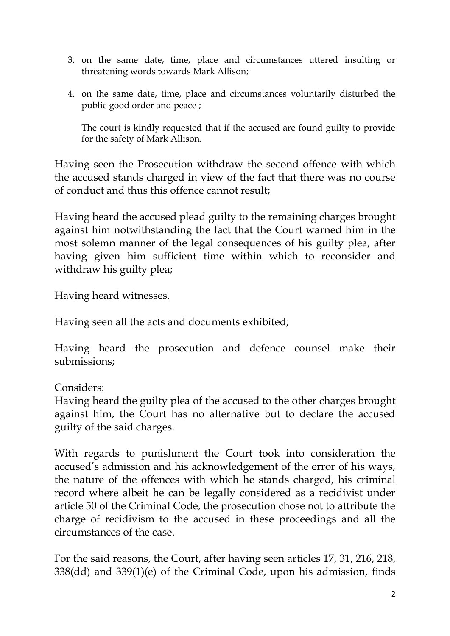- 3. on the same date, time, place and circumstances uttered insulting or threatening words towards Mark Allison;
- 4. on the same date, time, place and circumstances voluntarily disturbed the public good order and peace ;

The court is kindly requested that if the accused are found guilty to provide for the safety of Mark Allison.

Having seen the Prosecution withdraw the second offence with which the accused stands charged in view of the fact that there was no course of conduct and thus this offence cannot result;

Having heard the accused plead guilty to the remaining charges brought against him notwithstanding the fact that the Court warned him in the most solemn manner of the legal consequences of his guilty plea, after having given him sufficient time within which to reconsider and withdraw his guilty plea;

Having heard witnesses.

Having seen all the acts and documents exhibited;

Having heard the prosecution and defence counsel make their submissions;

Considers:

Having heard the guilty plea of the accused to the other charges brought against him, the Court has no alternative but to declare the accused guilty of the said charges.

With regards to punishment the Court took into consideration the accused's admission and his acknowledgement of the error of his ways, the nature of the offences with which he stands charged, his criminal record where albeit he can be legally considered as a recidivist under article 50 of the Criminal Code, the prosecution chose not to attribute the charge of recidivism to the accused in these proceedings and all the circumstances of the case.

For the said reasons, the Court, after having seen articles 17, 31, 216, 218, 338(dd) and 339(1)(e) of the Criminal Code, upon his admission, finds